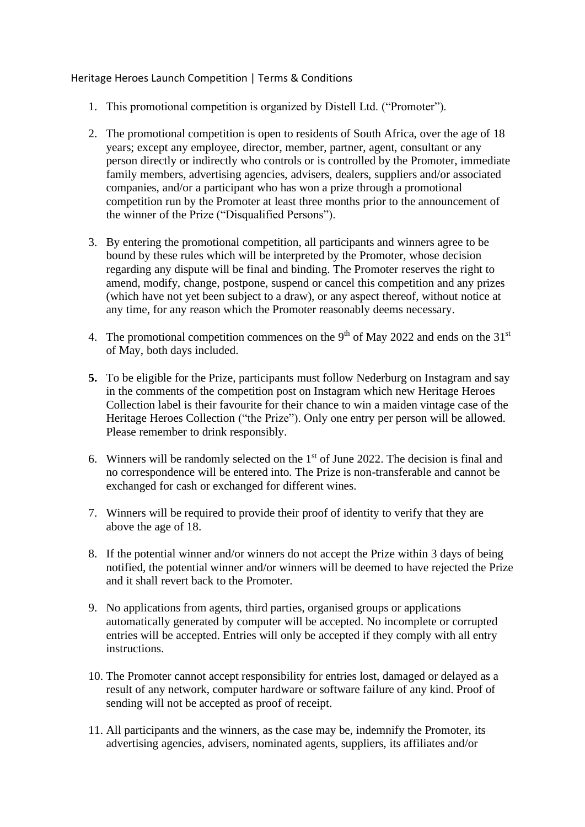Heritage Heroes Launch Competition | Terms & Conditions

- 1. This promotional competition is organized by Distell Ltd. ("Promoter").
- 2. The promotional competition is open to residents of South Africa, over the age of 18 years; except any employee, director, member, partner, agent, consultant or any person directly or indirectly who controls or is controlled by the Promoter, immediate family members, advertising agencies, advisers, dealers, suppliers and/or associated companies, and/or a participant who has won a prize through a promotional competition run by the Promoter at least three months prior to the announcement of the winner of the Prize ("Disqualified Persons").
- 3. By entering the promotional competition, all participants and winners agree to be bound by these rules which will be interpreted by the Promoter, whose decision regarding any dispute will be final and binding. The Promoter reserves the right to amend, modify, change, postpone, suspend or cancel this competition and any prizes (which have not yet been subject to a draw), or any aspect thereof, without notice at any time, for any reason which the Promoter reasonably deems necessary.
- 4. The promotional competition commences on the  $9<sup>th</sup>$  of May 2022 and ends on the 31<sup>st</sup> of May, both days included.
- **5.** To be eligible for the Prize, participants must follow Nederburg on Instagram and say in the comments of the competition post on Instagram which new Heritage Heroes Collection label is their favourite for their chance to win a maiden vintage case of the Heritage Heroes Collection ("the Prize"). Only one entry per person will be allowed. Please remember to drink responsibly.
- 6. Winners will be randomly selected on the  $1<sup>st</sup>$  of June 2022. The decision is final and no correspondence will be entered into. The Prize is non-transferable and cannot be exchanged for cash or exchanged for different wines.
- 7. Winners will be required to provide their proof of identity to verify that they are above the age of 18.
- 8. If the potential winner and/or winners do not accept the Prize within 3 days of being notified, the potential winner and/or winners will be deemed to have rejected the Prize and it shall revert back to the Promoter.
- 9. No applications from agents, third parties, organised groups or applications automatically generated by computer will be accepted. No incomplete or corrupted entries will be accepted. Entries will only be accepted if they comply with all entry instructions.
- 10. The Promoter cannot accept responsibility for entries lost, damaged or delayed as a result of any network, computer hardware or software failure of any kind. Proof of sending will not be accepted as proof of receipt.
- 11. All participants and the winners, as the case may be, indemnify the Promoter, its advertising agencies, advisers, nominated agents, suppliers, its affiliates and/or